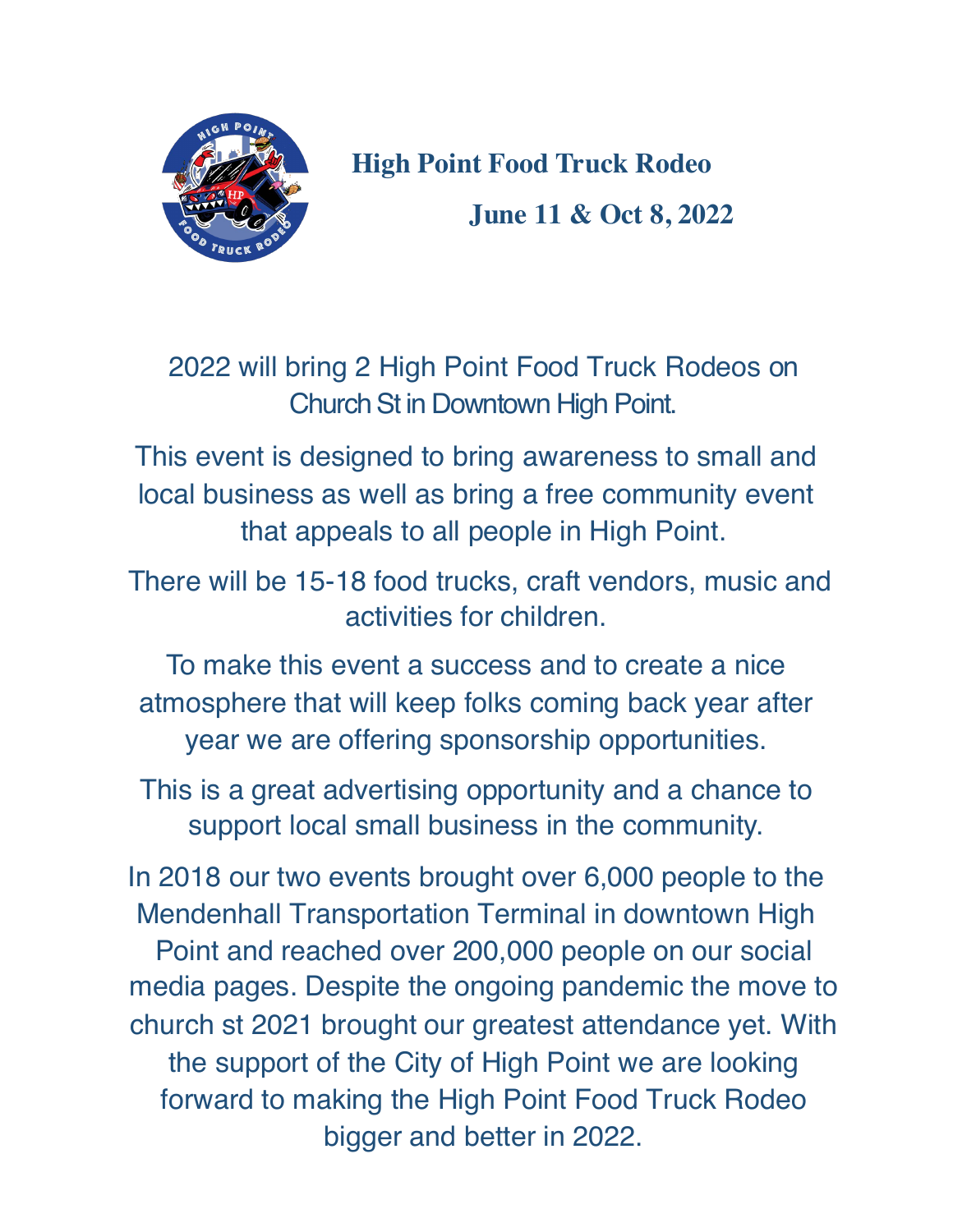

**High Point Food Truck Rodeo June 11 & Oct 8, 2022**

2022 will bring 2 High Point Food Truck Rodeos on Church St in Downtown High Point.

This event is designed to bring awareness to small and local business as well as bring a free community event that appeals to all people in High Point.

There will be 15-18 food trucks, craft vendors, music and activities for children.

To make this event a success and to create a nice atmosphere that will keep folks coming back year after year we are offering sponsorship opportunities.

This is a great advertising opportunity and a chance to support local small business in the community.

In 2018 our two events brought over 6,000 people to the Mendenhall Transportation Terminal in downtown High Point and reached over 200,000 people on our social media pages. Despite the ongoing pandemic the move to church st 2021 brought our greatest attendance yet. With the support of the City of High Point we are looking forward to making the High Point Food Truck Rodeo bigger and better in 2022.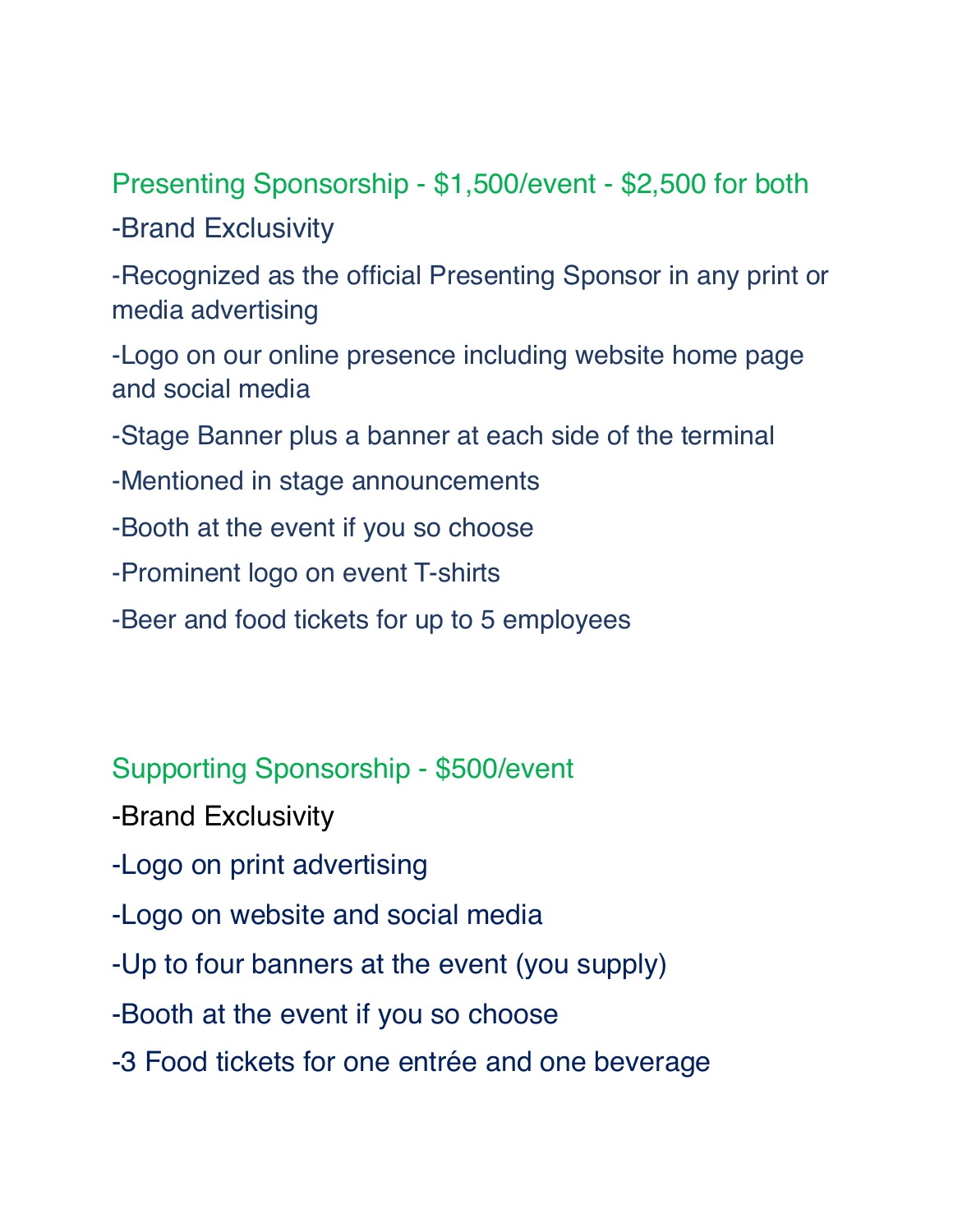Presenting Sponsorship - \$1,500/event - \$2,500 for both -Brand Exclusivity

-Recognized as the official Presenting Sponsor in any print or media advertising

-Logo on our online presence including website home page and social media

-Stage Banner plus a banner at each side of the terminal

- -Mentioned in stage announcements
- -Booth at the event if you so choose
- -Prominent logo on event T-shirts
- -Beer and food tickets for up to 5 employees

Supporting Sponsorship - \$500/event

- -Brand Exclusivity
- -Logo on print advertising
- -Logo on website and social media
- -Up to four banners at the event (you supply)
- -Booth at the event if you so choose
- -3 Food tickets for one entrée and one beverage